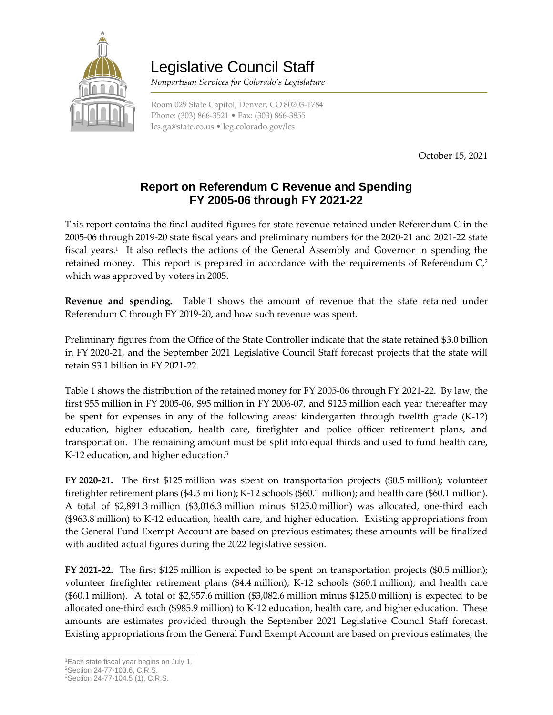

## Legislative Council Staff

 *Nonpartisan Services for Colorado's Legislature*

Room 029 State Capitol, Denver, CO 80203-1784 Phone: (303) 866-3521 • Fax: (303) 866-3855 [lcs.ga@state.co.us](mailto:lcs.ga@state.co.us) • [leg.colorado.gov/lcs](http://leg.colorado.gov/lcs)

October 15, 2021

## **Report on Referendum C Revenue and Spending FY 2005-06 through FY 2021-22**

This report contains the final audited figures for state revenue retained under Referendum C in the 2005-06 through 2019-20 state fiscal years and preliminary numbers for the 2020-21 and 2021-22 state fiscal years.<sup>1</sup> It also reflects the actions of the General Assembly and Governor in spending the retained money. This report is prepared in accordance with the requirements of Referendum C, 2 which was approved by voters in 2005.

**Revenue and spending.** Table 1 shows the amount of revenue that the state retained under Referendum C through FY 2019-20, and how such revenue was spent.

Preliminary figures from the Office of the State Controller indicate that the state retained \$3.0 billion in FY 2020-21, and the September 2021 Legislative Council Staff forecast projects that the state will retain \$3.1 billion in FY 2021-22.

Table 1 shows the distribution of the retained money for FY 2005-06 through FY 2021-22. By law, the first \$55 million in FY 2005-06, \$95 million in FY 2006-07, and \$125 million each year thereafter may be spent for expenses in any of the following areas: kindergarten through twelfth grade (K-12) education, higher education, health care, firefighter and police officer retirement plans, and transportation. The remaining amount must be split into equal thirds and used to fund health care, K-12 education, and higher education.<sup>3</sup>

**FY 2020-21.** The first \$125 million was spent on transportation projects (\$0.5 million); volunteer firefighter retirement plans (\$4.3 million); K-12 schools (\$60.1 million); and health care (\$60.1 million). A total of \$2,891.3 million (\$3,016.3 million minus \$125.0 million) was allocated, one-third each (\$963.8 million) to K-12 education, health care, and higher education. Existing appropriations from the General Fund Exempt Account are based on previous estimates; these amounts will be finalized with audited actual figures during the 2022 legislative session.

**FY 2021-22.** The first \$125 million is expected to be spent on transportation projects (\$0.5 million); volunteer firefighter retirement plans (\$4.4 million); K-12 schools (\$60.1 million); and health care (\$60.1 million). A total of \$2,957.6 million (\$3,082.6 million minus \$125.0 million) is expected to be allocated one-third each (\$985.9 million) to K-12 education, health care, and higher education. These amounts are estimates provided through the September 2021 Legislative Council Staff forecast. Existing appropriations from the General Fund Exempt Account are based on previous estimates; the

 $\overline{a}$ <sup>1</sup>Each state fiscal year begins on July 1.

<sup>2</sup>Section 24-77-103.6, C.R.S.

<sup>3</sup>Section 24-77-104.5 (1), C.R.S.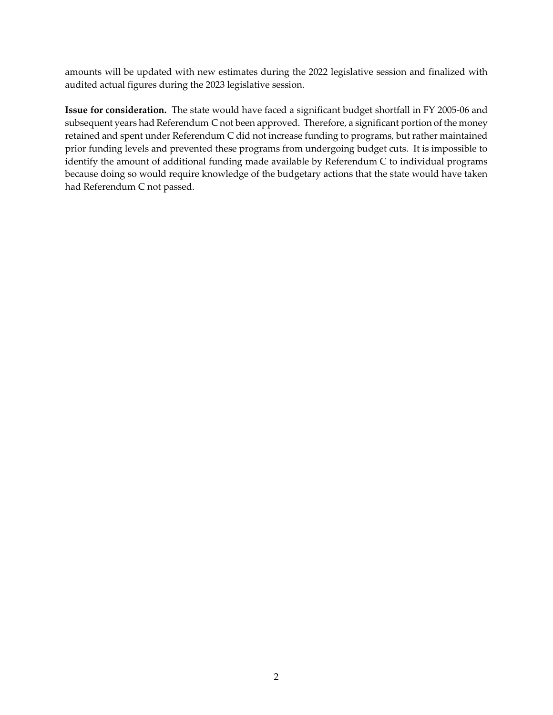amounts will be updated with new estimates during the 2022 legislative session and finalized with audited actual figures during the 2023 legislative session.

**Issue for consideration.** The state would have faced a significant budget shortfall in FY 2005-06 and subsequent years had Referendum C not been approved. Therefore, a significant portion of the money retained and spent under Referendum C did not increase funding to programs, but rather maintained prior funding levels and prevented these programs from undergoing budget cuts. It is impossible to identify the amount of additional funding made available by Referendum C to individual programs because doing so would require knowledge of the budgetary actions that the state would have taken had Referendum C not passed.